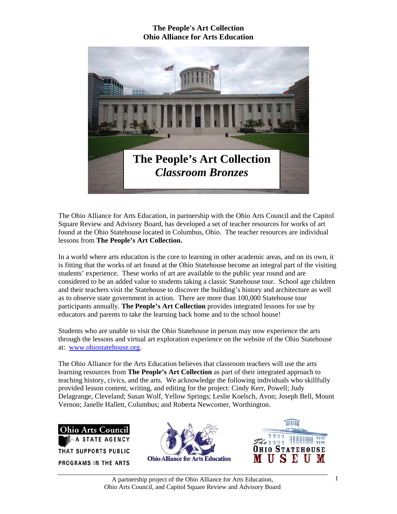

The Ohio Alliance for Arts Education, in partnership with the Ohio Arts Council and the Capitol Square Review and Advisory Board, has developed a set of teacher resources for works of art found at the Ohio Statehouse located in Columbus, Ohio. The teacher resources are individual lessons from **The People's Art Collection.** 

In a world where arts education is the core to learning in other academic areas, and on its own, it is fitting that the works of art found at the Ohio Statehouse become an integral part of the visiting students' experience. These works of art are available to the public year round and are considered to be an added value to students taking a classic Statehouse tour. School age children and their teachers visit the Statehouse to discover the building's history and architecture as well as to observe state government in action. There are more than 100,000 Statehouse tour participants annually. **The People's Art Collection** provides integrated lessons for use by educators and parents to take the learning back home and to the school house!

Students who are unable to visit the Ohio Statehouse in person may now experience the arts through the lessons and virtual art exploration experience on the website of the Ohio Statehouse at: www.ohiostatehouse.org.

The Ohio Alliance for the Arts Education believes that classroom teachers will use the arts learning resources from **The People's Art Collection** as part of their integrated approach to teaching history, civics, and the arts. We acknowledge the following individuals who skillfully provided lesson content, writing, and editing for the project: Cindy Kerr, Powell; Judy Delagrange, Cleveland; Susan Wolf, Yellow Springs; Leslie Koelsch, Avon; Joseph Bell, Mount Vernon; Janelle Hallett, Columbus; and Roberta Newcomer, Worthington.





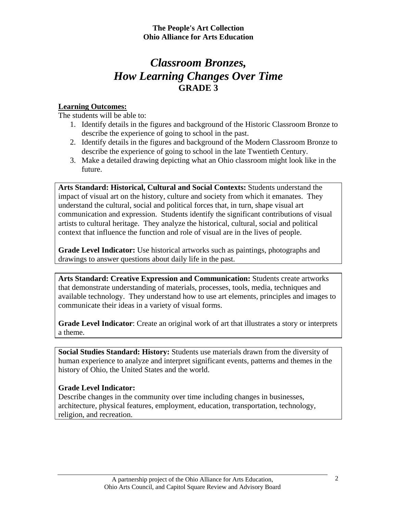# *Classroom Bronzes, How Learning Changes Over Time*  **GRADE 3**

## **Learning Outcomes:**

The students will be able to:

- 1. Identify details in the figures and background of the Historic Classroom Bronze to describe the experience of going to school in the past.
- 2. Identify details in the figures and background of the Modern Classroom Bronze to describe the experience of going to school in the late Twentieth Century.
- 3. Make a detailed drawing depicting what an Ohio classroom might look like in the future.

**Arts Standard: Historical, Cultural and Social Contexts:** Students understand the impact of visual art on the history, culture and society from which it emanates. They understand the cultural, social and political forces that, in turn, shape visual art communication and expression. Students identify the significant contributions of visual artists to cultural heritage. They analyze the historical, cultural, social and political context that influence the function and role of visual are in the lives of people.

**Grade Level Indicator:** Use historical artworks such as paintings, photographs and drawings to answer questions about daily life in the past.

**Arts Standard: Creative Expression and Communication:** Students create artworks that demonstrate understanding of materials, processes, tools, media, techniques and available technology. They understand how to use art elements, principles and images to communicate their ideas in a variety of visual forms.

**Grade Level Indicator**: Create an original work of art that illustrates a story or interprets a theme.

**Social Studies Standard: History:** Students use materials drawn from the diversity of human experience to analyze and interpret significant events, patterns and themes in the history of Ohio, the United States and the world.

## **Grade Level Indicator:**

Describe changes in the community over time including changes in businesses, architecture, physical features, employment, education, transportation, technology, religion, and recreation.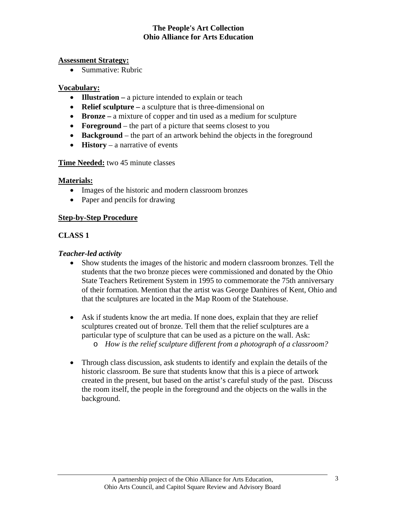#### **Assessment Strategy:**

• Summative: Rubric

#### **Vocabulary:**

- **Illustration** a picture intended to explain or teach
- **Relief sculpture** a sculpture that is three-dimensional on
- **Bronze** a mixture of copper and tin used as a medium for sculpture
- **Foreground** the part of a picture that seems closest to you
- **Background** the part of an artwork behind the objects in the foreground
- **History** a narrative of events

## **Time Needed:** two 45 minute classes

## **Materials:**

- Images of the historic and modern classroom bronzes
- Paper and pencils for drawing

## **Step-by-Step Procedure**

## **CLASS 1**

## *Teacher-led activity*

- Show students the images of the historic and modern classroom bronzes. Tell the students that the two bronze pieces were commissioned and donated by the Ohio State Teachers Retirement System in 1995 to commemorate the 75th anniversary of their formation. Mention that the artist was George Danhires of Kent, Ohio and that the sculptures are located in the Map Room of the Statehouse.
- Ask if students know the art media. If none does, explain that they are relief sculptures created out of bronze. Tell them that the relief sculptures are a particular type of sculpture that can be used as a picture on the wall. Ask: o *How is the relief sculpture different from a photograph of a classroom?*
- Through class discussion, ask students to identify and explain the details of the historic classroom. Be sure that students know that this is a piece of artwork created in the present, but based on the artist's careful study of the past. Discuss the room itself, the people in the foreground and the objects on the walls in the background.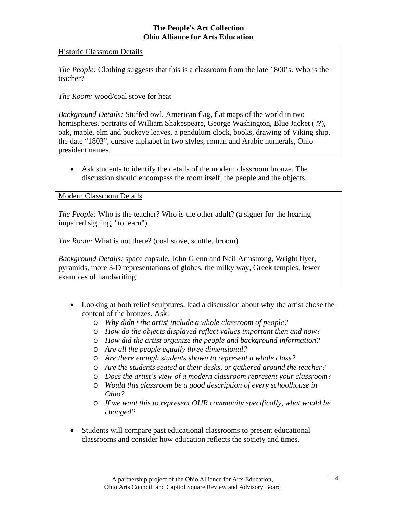Historic Classroom Details

*The People:* Clothing suggests that this is a classroom from the late 1800's. Who is the teacher?

*The Room:* wood/coal stove for heat

*Background Details:* Stuffed owl, American flag, flat maps of the world in two hemispheres, portraits of William Shakespeare, George Washington, Blue Jacket (??), oak, maple, elm and buckeye leaves, a pendulum clock, books, drawing of Viking ship, the date "1803", cursive alphabet in two styles, roman and Arabic numerals, Ohio president names.

• Ask students to identify the details of the modern classroom bronze. The discussion should encompass the room itself, the people and the objects.

## Modern Classroom Details

*The People:* Who is the teacher? Who is the other adult? (a signer for the hearing impaired signing, "to learn")

*The Room:* What is not there? (coal stove, scuttle, broom)

*Background Details:* space capsule, John Glenn and Neil Armstrong, Wright flyer, pyramids, more 3-D representations of globes, the milky way, Greek temples, fewer examples of handwriting

- Looking at both relief sculptures, lead a discussion about why the artist chose the content of the bronzes. Ask:
	- o *Why didn't the artist include a whole classroom of people?*
	- o *How do the objects displayed reflect values important then and now?*
	- o *How did the artist organize the people and background information?*
	- o *Are all the people equally three dimensional?*
	- o *Are there enough students shown to represent a whole class?*
	- o *Are the students seated at their desks, or gathered around the teacher?*
	- o *Does the artist's view of a modern classroom represent your classroom?*
	- o *Would this classroom be a good description of every schoolhouse in Ohio?*
	- o *If we want this to represent OUR community specifically, what would be changed?*
- Students will compare past educational classrooms to present educational classrooms and consider how education reflects the society and times.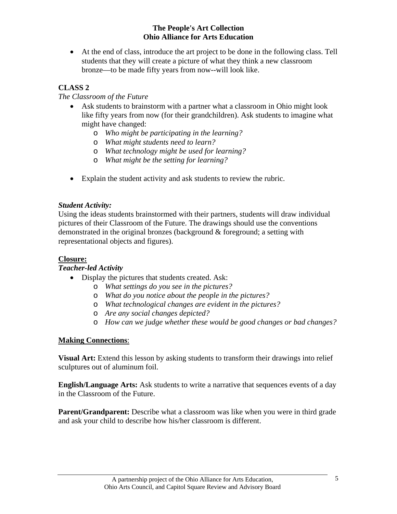• At the end of class, introduce the art project to be done in the following class. Tell students that they will create a picture of what they think a new classroom bronze—to be made fifty years from now--will look like.

# **CLASS 2**

## *The Classroom of the Future*

- Ask students to brainstorm with a partner what a classroom in Ohio might look like fifty years from now (for their grandchildren). Ask students to imagine what might have changed:
	- o *Who might be participating in the learning?*
	- o *What might students need to learn?*
	- o *What technology might be used for learning?*
	- o *What might be the setting for learning?*
- Explain the student activity and ask students to review the rubric.

## *Student Activity:*

Using the ideas students brainstormed with their partners, students will draw individual pictures of their Classroom of the Future. The drawings should use the conventions demonstrated in the original bronzes (background  $\&$  foreground; a setting with representational objects and figures).

# **Closure:**

## *Teacher-led Activity*

- Display the pictures that students created. Ask:
	- o *What settings do you see in the pictures?*
	- o *What do you notice about the people in the pictures?*
	- o *What technological changes are evident in the pictures?*
	- o *Are any social changes depicted?*
	- o *How can we judge whether these would be good changes or bad changes?*

# **Making Connections**:

**Visual Art:** Extend this lesson by asking students to transform their drawings into relief sculptures out of aluminum foil.

**English/Language Arts:** Ask students to write a narrative that sequences events of a day in the Classroom of the Future.

**Parent/Grandparent:** Describe what a classroom was like when you were in third grade and ask your child to describe how his/her classroom is different.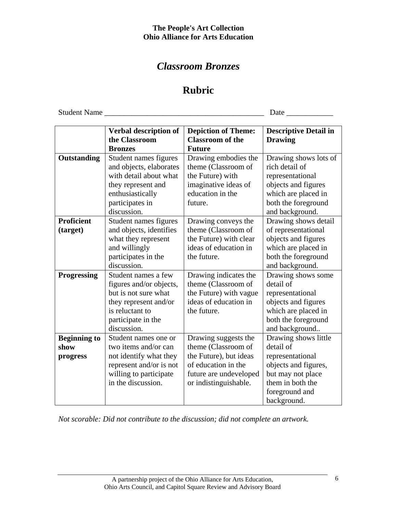# *Classroom Bronzes*

# **Rubric**

Student Name \_\_\_\_\_\_\_\_\_\_\_\_\_\_\_\_\_\_\_\_\_\_\_\_\_\_\_\_\_\_\_\_\_\_\_\_\_\_\_\_\_ Date \_\_\_\_\_\_\_\_\_\_\_\_

|                     | Verbal description of   | <b>Depiction of Theme:</b> | <b>Descriptive Detail in</b> |
|---------------------|-------------------------|----------------------------|------------------------------|
|                     | the Classroom           | <b>Classroom of the</b>    | <b>Drawing</b>               |
|                     | <b>Bronzes</b>          | <b>Future</b>              |                              |
| Outstanding         | Student names figures   | Drawing embodies the       | Drawing shows lots of        |
|                     | and objects, elaborates | theme (Classroom of        | rich detail of               |
|                     | with detail about what  | the Future) with           | representational             |
|                     | they represent and      | imaginative ideas of       | objects and figures          |
|                     | enthusiastically        | education in the           | which are placed in          |
|                     | participates in         | future.                    | both the foreground          |
|                     | discussion.             |                            | and background.              |
| <b>Proficient</b>   | Student names figures   | Drawing conveys the        | Drawing shows detail         |
| (target)            | and objects, identifies | theme (Classroom of        | of representational          |
|                     | what they represent     | the Future) with clear     | objects and figures          |
|                     | and willingly           | ideas of education in      | which are placed in          |
|                     | participates in the     | the future.                | both the foreground          |
|                     | discussion.             |                            | and background.              |
| <b>Progressing</b>  | Student names a few     | Drawing indicates the      | Drawing shows some           |
|                     | figures and/or objects, | theme (Classroom of        | detail of                    |
|                     | but is not sure what    | the Future) with vague     | representational             |
|                     | they represent and/or   | ideas of education in      | objects and figures          |
|                     | is reluctant to         | the future.                | which are placed in          |
|                     | participate in the      |                            | both the foreground          |
|                     | discussion.             |                            | and background               |
| <b>Beginning to</b> | Student names one or    | Drawing suggests the       | Drawing shows little         |
| show                | two items and/or can    | theme (Classroom of        | detail of                    |
| progress            | not identify what they  | the Future), but ideas     | representational             |
|                     | represent and/or is not | of education in the        | objects and figures,         |
|                     | willing to participate  | future are undeveloped     | but may not place            |
|                     | in the discussion.      | or indistinguishable.      | them in both the             |
|                     |                         |                            | foreground and               |
|                     |                         |                            | background.                  |

*Not scorable: Did not contribute to the discussion; did not complete an artwork.*